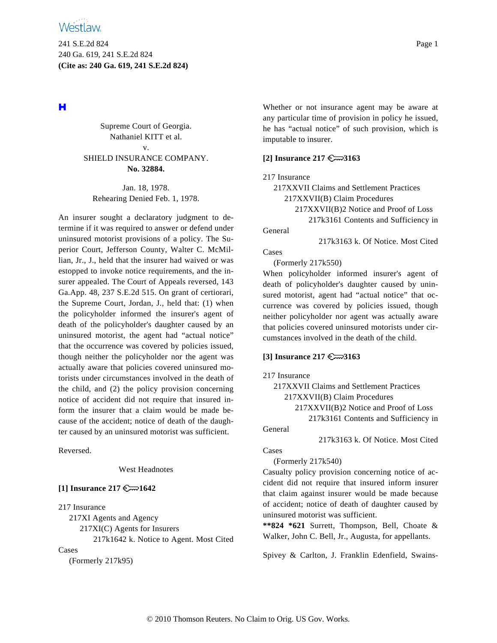241 S.E.2d 824 Page 1 240 Ga. 619, 241 S.E.2d 824 **(Cite as: 240 Ga. 619, 241 S.E.2d 824)**

# н

Supreme Court of Georgia. Nathaniel KITT et al. v.

SHIELD INSURANCE COMPANY. **No. 32884.**

Jan. 18, 1978. Rehearing Denied Feb. 1, 1978.

An insurer sought a declaratory judgment to determine if it was required to answer or defend under uninsured motorist provisions of a policy. The Superior Court, Jefferson County, Walter C. McMillian, Jr., J., held that the insurer had waived or was estopped to invoke notice requirements, and the insurer appealed. The Court of Appeals reversed, 143 Ga.App. 48, 237 S.E.2d 515. On grant of certiorari, the Supreme Court, Jordan, J., held that: (1) when the policyholder informed the insurer's agent of death of the policyholder's daughter caused by an uninsured motorist, the agent had "actual notice" that the occurrence was covered by policies issued, though neither the policyholder nor the agent was actually aware that policies covered uninsured motorists under circumstances involved in the death of the child, and (2) the policy provision concerning notice of accident did not require that insured inform the insurer that a claim would be made because of the accident; notice of death of the daughter caused by an uninsured motorist was sufficient.

Reversed.

West Headnotes

## **[1] Insurance 217**  $\mathbb{C}$  1642

217 Insurance

217XI Agents and Agency 217XI(C) Agents for Insurers 217k1642 k. Notice to Agent. Most Cited

Cases

(Formerly 217k95)

Whether or not insurance agent may be aware at any particular time of provision in policy he issued, he has "actual notice" of such provision, which is imputable to insurer.

### **[2] Insurance 217 3163**

217 Insurance

217XXVII Claims and Settlement Practices 217XXVII(B) Claim Procedures 217XXVII(B)2 Notice and Proof of Loss 217k3161 Contents and Sufficiency in General

217k3163 k. Of Notice. Most Cited

Cases

(Formerly 217k550)

When policyholder informed insurer's agent of death of policyholder's daughter caused by uninsured motorist, agent had "actual notice" that occurrence was covered by policies issued, though neither policyholder nor agent was actually aware that policies covered uninsured motorists under circumstances involved in the death of the child.

### **[3] Insurance 217 3163**

### 217 Insurance

217XXVII Claims and Settlement Practices 217XXVII(B) Claim Procedures 217XXVII(B)2 Notice and Proof of Loss 217k3161 Contents and Sufficiency in

General

217k3163 k. Of Notice. Most Cited

Cases

(Formerly 217k540)

Casualty policy provision concerning notice of accident did not require that insured inform insurer that claim against insurer would be made because of accident; notice of death of daughter caused by uninsured motorist was sufficient.

**\*\*824 \*621** Surrett, Thompson, Bell, Choate & Walker, John C. Bell, Jr., Augusta, for appellants.

Spivey & Carlton, J. Franklin Edenfield, Swains-